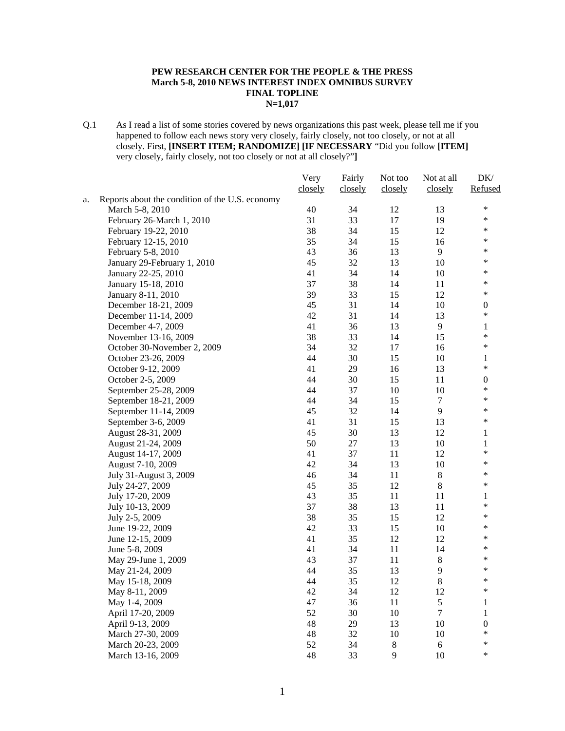#### **PEW RESEARCH CENTER FOR THE PEOPLE & THE PRESS March 5-8, 2010 NEWS INTEREST INDEX OMNIBUS SURVEY FINAL TOPLINE N=1,017**

Q.1 As I read a list of some stories covered by news organizations this past week, please tell me if you happened to follow each news story very closely, fairly closely, not too closely, or not at all closely. First, **[INSERT ITEM; RANDOMIZE] [IF NECESSARY** "Did you follow **[ITEM]**  very closely, fairly closely, not too closely or not at all closely?"**]**

|    |                                                 | Very    | Fairly  | Not too | Not at all     | DK/              |
|----|-------------------------------------------------|---------|---------|---------|----------------|------------------|
|    |                                                 | closely | closely | closely | closely        | Refused          |
| a. | Reports about the condition of the U.S. economy |         |         |         |                |                  |
|    | March 5-8, 2010                                 | 40      | 34      | 12      | 13             | $\ast$           |
|    | February 26-March 1, 2010                       | 31      | 33      | 17      | 19             | $\ast$           |
|    | February 19-22, 2010                            | 38      | 34      | 15      | 12             | $\ast$           |
|    | February 12-15, 2010                            | 35      | 34      | 15      | 16             | $\ast$           |
|    | February 5-8, 2010                              | 43      | 36      | 13      | 9              | $\ast$           |
|    | January 29-February 1, 2010                     | 45      | 32      | 13      | 10             | $\ast$           |
|    | January 22-25, 2010                             | 41      | 34      | 14      | 10             | $\ast$           |
|    | January 15-18, 2010                             | 37      | 38      | 14      | 11             | $\ast$           |
|    | January 8-11, 2010                              | 39      | 33      | 15      | 12             | $\ast$           |
|    | December 18-21, 2009                            | 45      | 31      | 14      | 10             | $\boldsymbol{0}$ |
|    | December 11-14, 2009                            | 42      | 31      | 14      | 13             | $\ast$           |
|    | December 4-7, 2009                              | 41      | 36      | 13      | 9              | 1                |
|    | November 13-16, 2009                            | 38      | 33      | 14      | 15             | $\ast$           |
|    | October 30-November 2, 2009                     | 34      | 32      | 17      | 16             | $\ast$           |
|    | October 23-26, 2009                             | 44      | 30      | 15      | 10             | $\mathbf{1}$     |
|    | October 9-12, 2009                              | 41      | 29      | 16      | 13             | $\ast$           |
|    | October 2-5, 2009                               | 44      | 30      | 15      | 11             | $\boldsymbol{0}$ |
|    | September 25-28, 2009                           | 44      | 37      | 10      | 10             | $\ast$           |
|    | September 18-21, 2009                           | 44      | 34      | 15      | $\tau$         | $\ast$           |
|    | September 11-14, 2009                           | 45      | 32      | 14      | 9              | $\ast$           |
|    | September 3-6, 2009                             | 41      | 31      | 15      | 13             | $\ast$           |
|    | August 28-31, 2009                              | 45      | 30      | 13      | 12             | 1                |
|    | August 21-24, 2009                              | 50      | $27\,$  | 13      | 10             | 1                |
|    | August 14-17, 2009                              | 41      | 37      | 11      | 12             | $\ast$           |
|    | August 7-10, 2009                               | 42      | 34      | 13      | 10             | $\ast$           |
|    | July 31-August 3, 2009                          | 46      | 34      | 11      | $\,8\,$        | $\ast$           |
|    | July 24-27, 2009                                | 45      | 35      | 12      | $\,8\,$        | $\ast$           |
|    | July 17-20, 2009                                | 43      | 35      | 11      | 11             | $\mathbf{1}$     |
|    | July 10-13, 2009                                | 37      | 38      | 13      | 11             | $\ast$           |
|    | July 2-5, 2009                                  | 38      | 35      | 15      | 12             | $\ast$           |
|    | June 19-22, 2009                                | 42      | 33      | 15      | 10             | $\ast$           |
|    | June 12-15, 2009                                | 41      | 35      | 12      | 12             | $\ast$           |
|    | June 5-8, 2009                                  | 41      | 34      | 11      | 14             | $\ast$           |
|    | May 29-June 1, 2009                             | 43      | 37      | 11      | $\,8\,$        | $\ast$           |
|    | May 21-24, 2009                                 | 44      | 35      | 13      | $\mathbf{9}$   | $\ast$           |
|    | May 15-18, 2009                                 | 44      | 35      | 12      | 8              | $\ast$           |
|    | May 8-11, 2009                                  | 42      | 34      | 12      | 12             | ∗                |
|    | May 1-4, 2009                                   | 47      | 36      | 11      | 5              | 1                |
|    | April 17-20, 2009                               | 52      | 30      | 10      | $\overline{7}$ | $\mathbf{1}$     |
|    | April 9-13, 2009                                | 48      | 29      | 13      | 10             | $\boldsymbol{0}$ |
|    | March 27-30, 2009                               | 48      | 32      | 10      | 10             | $\ast$           |
|    | March 20-23, 2009                               | 52      | 34      | $8\,$   | 6              | $\ast$           |
|    | March 13-16, 2009                               | 48      | 33      | 9       | 10             | $\ast$           |
|    |                                                 |         |         |         |                |                  |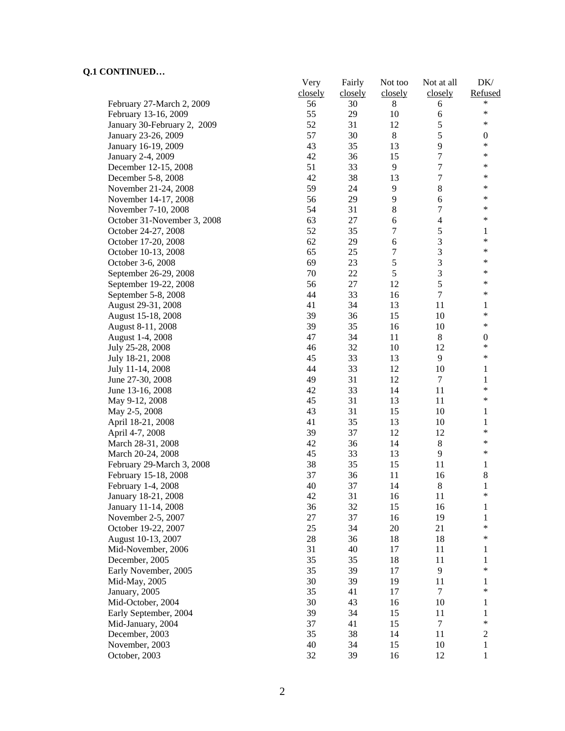|                             | Very    | Fairly  | Not too | Not at all       | DK/                    |
|-----------------------------|---------|---------|---------|------------------|------------------------|
|                             | closely | closely | closely | closely          | Refused                |
| February 27-March 2, 2009   | 56      | 30      | 8       | 6                | *                      |
| February 13-16, 2009        | 55      | 29      | 10      | 6                | $\ast$                 |
| January 30-February 2, 2009 | 52      | 31      | 12      | 5                | $\ast$                 |
| January 23-26, 2009         | 57      | 30      | $8\,$   | 5                | $\boldsymbol{0}$       |
| January 16-19, 2009         | 43      | 35      | 13      | 9                | $\ast$                 |
| January 2-4, 2009           | 42      | 36      | 15      | $\boldsymbol{7}$ | $\ast$                 |
| December 12-15, 2008        | 51      | 33      | 9       | 7                | $\ast$                 |
| December 5-8, 2008          | 42      | 38      | 13      | 7                | *                      |
| November 21-24, 2008        | 59      | 24      | 9       | $8\,$            | ∗                      |
| November 14-17, 2008        | 56      | 29      | 9       | 6                | ∗                      |
| November 7-10, 2008         | 54      | 31      | 8       | $\boldsymbol{7}$ | *                      |
| October 31-November 3, 2008 | 63      | 27      | 6       | $\overline{4}$   | ∗                      |
| October 24-27, 2008         | 52      | 35      | 7       | $\mathfrak s$    | 1                      |
| October 17-20, 2008         | 62      | 29      | 6       | $\mathfrak{Z}$   | $\ast$                 |
| October 10-13, 2008         | 65      | 25      | 7       | $\mathfrak{Z}$   | ∗                      |
| October 3-6, 2008           | 69      | 23      | 5       | 3                | $\ast$                 |
| September 26-29, 2008       | 70      | 22      | 5       | 3                | ∗                      |
| September 19-22, 2008       | 56      | 27      | 12      | 5                | $\ast$                 |
| September 5-8, 2008         | 44      | 33      | 16      | 7                | $\ast$                 |
| August 29-31, 2008          | 41      | 34      | 13      | 11               | 1                      |
| August 15-18, 2008          | 39      | 36      | 15      | 10               | $\ast$                 |
| August 8-11, 2008           | 39      | 35      | 16      | 10               | $\ast$                 |
| August 1-4, 2008            | 47      | 34      | 11      | $\,8\,$          | $\boldsymbol{0}$       |
|                             |         |         |         |                  | $\ast$                 |
| July 25-28, 2008            | 46      | 32      | 10      | 12<br>9          | $\ast$                 |
| July 18-21, 2008            | 45      | 33      | 13      |                  |                        |
| July 11-14, 2008            | 44      | 33      | 12      | 10               | 1                      |
| June 27-30, 2008            | 49      | 31      | 12      | $\tau$           | 1<br>$\ast$            |
| June 13-16, 2008            | 42      | 33      | 14      | 11               | $\ast$                 |
| May 9-12, 2008              | 45      | 31      | 13      | 11               |                        |
| May 2-5, 2008               | 43      | 31      | 15      | 10               | 1                      |
| April 18-21, 2008           | 41      | 35      | 13      | 10               | $\mathbf{1}$<br>$\ast$ |
| April 4-7, 2008             | 39      | 37      | 12      | 12               |                        |
| March 28-31, 2008           | 42      | 36      | 14      | $8\,$            | ∗                      |
| March 20-24, 2008           | 45      | 33      | 13      | 9                | $\ast$                 |
| February 29-March 3, 2008   | 38      | 35      | 15      | 11               | 1                      |
| February 15-18, 2008        | 37      | 36      | 11      | 16               | $\,$ 8 $\,$            |
| February 1-4, 2008          | 40      | 37      | 14      | $\,8\,$          | $\mathbf{1}$           |
| January 18-21, 2008         | 42      | 31      | 16      | 11               | ∗                      |
| January 11-14, 2008         | 36      | 32      | 15      | 16               | 1                      |
| November 2-5, 2007          | 27      | 37      | 16      | 19               | 1                      |
| October 19-22, 2007         | 25      | 34      | 20      | 21               | $\ast$                 |
| August 10-13, 2007          | 28      | 36      | 18      | 18               | $\ast$                 |
| Mid-November, 2006          | 31      | 40      | 17      | 11               | 1                      |
| December, 2005              | 35      | 35      | 18      | 11               | 1                      |
| Early November, 2005        | 35      | 39      | 17      | 9                | $\ast$                 |
| Mid-May, 2005               | 30      | 39      | 19      | 11               | 1                      |
| January, 2005               | 35      | 41      | 17      | $\tau$           | $\ast$                 |
| Mid-October, 2004           | 30      | 43      | 16      | 10               | 1                      |
| Early September, 2004       | 39      | 34      | 15      | 11               | 1                      |
| Mid-January, 2004           | 37      | 41      | 15      | 7                | $\ast$                 |
| December, 2003              | 35      | 38      | 14      | 11               | $\overline{c}$         |
| November, 2003              | 40      | 34      | 15      | 10               | 1                      |
| October, 2003               | 32      | 39      | 16      | 12               | 1                      |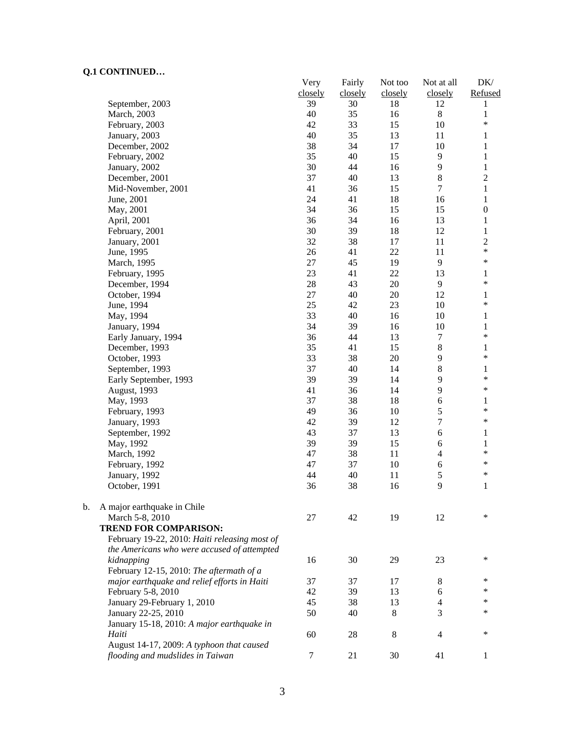$\mathbf b$ .

|    |                                                 | Very<br>closely | Fairly<br>closely | Not too<br>closely | Not at all<br>closely | DK/<br>Refused   |
|----|-------------------------------------------------|-----------------|-------------------|--------------------|-----------------------|------------------|
|    | September, 2003                                 | 39              | 30                | 18                 | 12                    | 1                |
|    | March, 2003                                     | 40              | 35                | 16                 | $8\,$                 | $\mathbf{1}$     |
|    | February, 2003                                  | 42              | 33                | 15                 | 10                    | $\ast$           |
|    | January, 2003                                   | 40              | 35                | 13                 | 11                    | $\mathbf{1}$     |
|    | December, 2002                                  | 38              | 34                | 17                 | 10                    | $\mathbf{1}$     |
|    | February, 2002                                  | 35              | 40                | 15                 | 9                     | $\mathbf{1}$     |
|    | January, 2002                                   | 30              | 44                | 16                 | 9                     | $\,1$            |
|    | December, 2001                                  | 37              | 40                | 13                 | $8\,$                 | $\sqrt{2}$       |
|    | Mid-November, 2001                              | 41              | 36                | 15                 | $\overline{7}$        | $\,1$            |
|    | June, 2001                                      | 24              | 41                | 18                 | 16                    | $\mathbf{1}$     |
|    | May, 2001                                       | 34              | 36                | 15                 | 15                    | $\boldsymbol{0}$ |
|    | April, 2001                                     | 36              | 34                | 16                 | 13                    | $\,1$            |
|    | February, 2001                                  | 30              | 39                | 18                 | 12                    | $\,1$            |
|    | January, 2001                                   | 32              | 38                | 17                 | 11                    | $\overline{c}$   |
|    | June, 1995                                      | 26              | 41                | 22                 | 11                    | $\ast$           |
|    | March, 1995                                     | 27              | 45                | 19                 | 9                     | $\ast$           |
|    | February, 1995                                  | 23              | 41                | 22                 | 13                    | 1                |
|    | December, 1994                                  | 28              | 43                | 20                 | 9                     | $\ast$           |
|    | October, 1994                                   | 27              | 40                | 20                 | 12                    | 1                |
|    | June, 1994                                      | 25              | 42                | 23                 | 10                    | $\ast$           |
|    | May, 1994                                       | 33              | 40                | 16                 | 10                    | $\mathbf{1}$     |
|    | January, 1994                                   | 34              | 39                | 16                 | 10                    | $\mathbf{1}$     |
|    | Early January, 1994                             | 36              | 44                | 13                 | $\tau$                | $\ast$           |
|    | December, 1993                                  | 35              | 41                | 15                 | $8\,$                 | $\mathbf{1}$     |
|    | October, 1993                                   | 33              | 38                | 20                 | 9                     | $\ast$           |
|    | September, 1993                                 | 37              | 40                | 14                 | 8                     | $\mathbf{1}$     |
|    | Early September, 1993                           | 39              | 39                | 14                 | 9                     | $\ast$           |
|    | August, 1993                                    | 41              | 36                | 14                 | 9                     | $\ast$           |
|    | May, 1993                                       | 37              | 38                | 18                 | 6                     | 1                |
|    | February, 1993                                  | 49              | 36                | 10                 | 5                     | $\ast$           |
|    | January, 1993                                   | 42              | 39                | 12                 | $\overline{7}$        | $\ast$           |
|    | September, 1992                                 | 43              | 37                | 13                 | 6                     | $\mathbf{1}$     |
|    | May, 1992                                       | 39              | 39                | 15                 | 6                     | $\mathbf{1}$     |
|    | March, 1992                                     | 47              | 38                | 11                 | $\overline{4}$        | $\ast$           |
|    | February, 1992                                  | 47              | 37                | 10                 | 6                     | $\ast$           |
|    | January, 1992                                   | 44              | 40                | 11                 | 5                     | $\ast$           |
|    | October, 1991                                   | 36              | 38                | 16                 | 9                     | $\mathbf{1}$     |
|    |                                                 |                 |                   |                    |                       |                  |
| b. | A major earthquake in Chile                     |                 |                   |                    |                       | $\ast$           |
|    | March 5-8, 2010<br><b>TREND FOR COMPARISON:</b> | 27              | 42                | 19                 | 12                    |                  |
|    |                                                 |                 |                   |                    |                       |                  |
|    | February 19-22, 2010: Haiti releasing most of   |                 |                   |                    |                       |                  |
|    | the Americans who were accused of attempted     |                 |                   |                    |                       | *                |
|    | kidnapping                                      | 16              | 30                | 29                 | 23                    |                  |
|    | February 12-15, 2010: The aftermath of a        |                 |                   |                    |                       | *                |
|    | major earthquake and relief efforts in Haiti    | 37              | 37                | 17                 | 8                     |                  |
|    | February 5-8, 2010                              | 42              | 39                | 13                 | 6                     | *                |
|    | January 29-February 1, 2010                     | 45              | 38                | 13                 | 4                     | *                |
|    | January 22-25, 2010                             | 50              | 40                | 8                  | 3                     | ∗                |
|    | January 15-18, 2010: A major earthquake in      |                 |                   |                    |                       |                  |
|    | Haiti                                           | 60              | 28                | 8                  | $\overline{4}$        | $\ast$           |
|    | August 14-17, 2009: A typhoon that caused       |                 |                   |                    |                       |                  |
|    | flooding and mudslides in Taiwan                | $\tau$          | 21                | 30                 | 41                    | 1                |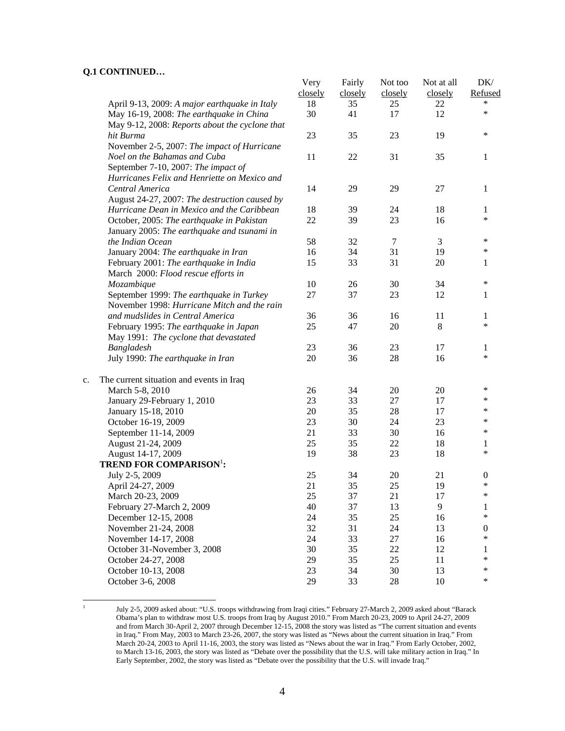$\frac{1}{1}$ 

|    |                                                | Very<br>closely | Fairly<br>closely | Not too<br>closely | Not at all<br>closely | DK/<br>Refused   |
|----|------------------------------------------------|-----------------|-------------------|--------------------|-----------------------|------------------|
|    | April 9-13, 2009: A major earthquake in Italy  | 18              | 35                | 25                 | 22                    | *                |
|    | May 16-19, 2008: The earthquake in China       | 30              | 41                | 17                 | 12                    | $\ast$           |
|    | May 9-12, 2008: Reports about the cyclone that |                 |                   |                    |                       |                  |
|    | hit Burma                                      | 23              | 35                | 23                 | 19                    | $\ast$           |
|    | November 2-5, 2007: The impact of Hurricane    |                 |                   |                    |                       |                  |
|    | Noel on the Bahamas and Cuba                   | 11              | 22                | 31                 | 35                    | 1                |
|    | September 7-10, 2007: The impact of            |                 |                   |                    |                       |                  |
|    | Hurricanes Felix and Henriette on Mexico and   |                 |                   |                    |                       |                  |
|    | Central America                                | 14              | 29                | 29                 | 27                    | 1                |
|    | August 24-27, 2007: The destruction caused by  |                 |                   |                    |                       |                  |
|    | Hurricane Dean in Mexico and the Caribbean     | 18              | 39                | 24                 | 18                    | 1                |
|    | October, 2005: The earthquake in Pakistan      | 22              | 39                | 23                 | 16                    | $\ast$           |
|    | January 2005: The earthquake and tsunami in    |                 |                   |                    |                       |                  |
|    | the Indian Ocean                               | 58              | 32                | $\tau$             | 3                     | ∗                |
|    | January 2004: The earthquake in Iran           | 16              | 34                | 31                 | 19                    | $\ast$           |
|    | February 2001: The earthquake in India         | 15              | 33                | 31                 | 20                    | 1                |
|    | March 2000: Flood rescue efforts in            |                 |                   |                    |                       |                  |
|    | Mozambique                                     | 10              | 26                | 30                 | 34                    | $\ast$           |
|    | September 1999: The earthquake in Turkey       | 27              | 37                | 23                 | 12                    | 1                |
|    | November 1998: Hurricane Mitch and the rain    |                 |                   |                    |                       |                  |
|    | and mudslides in Central America               | 36              | 36                | 16                 | 11                    | 1                |
|    | February 1995: The earthquake in Japan         | 25              | 47                | 20                 | 8                     | $\ast$           |
|    | May 1991: The cyclone that devastated          |                 |                   |                    |                       |                  |
|    | Bangladesh                                     | 23              | 36                | 23                 | 17                    | 1                |
|    | July 1990: The earthquake in Iran              | 20              | 36                | 28                 | 16                    | $\ast$           |
| c. | The current situation and events in Iraq       |                 |                   |                    |                       |                  |
|    | March 5-8, 2010                                | 26              | 34                | 20                 | 20                    | ∗                |
|    | January 29-February 1, 2010                    | 23              | 33                | 27                 | 17                    | *                |
|    | January 15-18, 2010                            | 20              | 35                | 28                 | 17                    | *                |
|    | October 16-19, 2009                            | 23              | 30                | 24                 | 23                    | ∗                |
|    | September 11-14, 2009                          | 21              | 33                | 30                 | 16                    | *                |
|    | August 21-24, 2009                             | 25              | 35                | 22                 | 18                    | 1                |
|    | August 14-17, 2009                             | 19              | 38                | 23                 | 18                    | $\ast$           |
|    | <b>TREND FOR COMPARISON':</b>                  |                 |                   |                    |                       |                  |
|    | July 2-5, 2009                                 | 25              | 34                | 20                 | 21                    | $\boldsymbol{0}$ |
|    | April 24-27, 2009                              | 21              | 35                | 25                 | 19                    | $\ast$           |
|    | March 20-23, 2009                              | 25              | 37                | 21                 | 17                    | $\ast$           |
|    | February 27-March 2, 2009                      | 40              | 37                | 13                 | 9                     | 1                |
|    | December 12-15, 2008                           | 24              | 35                | 25                 | 16                    | $\ast$           |
|    | November 21-24, 2008                           | 32              | 31                | 24                 | 13                    | $\boldsymbol{0}$ |
|    | November 14-17, 2008                           | 24              | 33                | 27                 | 16                    | $\ast$           |
|    | October 31-November 3, 2008                    | 30              | 35                | 22                 | 12                    | 1                |
|    | October 24-27, 2008                            | 29              | 35                | 25                 | 11                    | $\ast$           |
|    | October 10-13, 2008                            | 23              | 34                | 30                 | 13                    | $\ast$           |
|    | October 3-6, 2008                              | 29              | 33                | 28                 | 10                    | $\ast$           |
|    |                                                |                 |                   |                    |                       |                  |

July 2-5, 2009 asked about: "U.S. troops withdrawing from Iraqi cities." February 27-March 2, 2009 asked about "Barack Obama's plan to withdraw most U.S. troops from Iraq by August 2010." From March 20-23, 2009 to April 24-27, 2009 and from March 30-April 2, 2007 through December 12-15, 2008 the story was listed as "The current situation and events in Iraq." From May, 2003 to March 23-26, 2007, the story was listed as "News about the current situation in Iraq." From March 20-24, 2003 to April 11-16, 2003, the story was listed as "News about the war in Iraq." From Early October, 2002, to March 13-16, 2003, the story was listed as "Debate over the possibility that the U.S. will take military action in Iraq." In Early September, 2002, the story was listed as "Debate over the possibility that the U.S. will invade Iraq."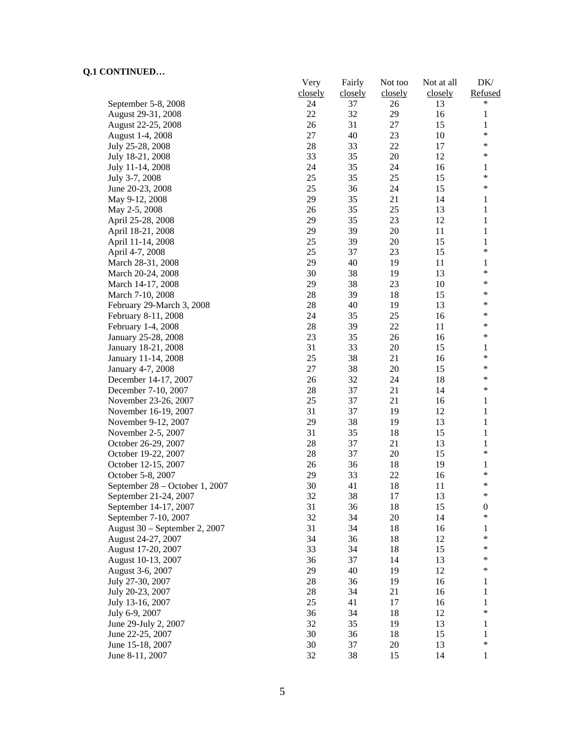|                                | Very    | Fairly  | Not too | Not at all | DK/              |
|--------------------------------|---------|---------|---------|------------|------------------|
|                                | closely | closely | closely | closely    | Refused          |
| September 5-8, 2008            | 24      | 37      | 26      | 13         | *                |
| August 29-31, 2008             | 22      | 32      | 29      | 16         | 1                |
| August 22-25, 2008             | 26      | 31      | 27      | 15         | 1                |
| August 1-4, 2008               | 27      | 40      | 23      | 10         | $\ast$           |
| July 25-28, 2008               | 28      | 33      | 22      | 17         | $\ast$           |
| July 18-21, 2008               | 33      | 35      | 20      | 12         | $\ast$           |
| July 11-14, 2008               | 24      | 35      | 24      | 16         | 1                |
| July 3-7, 2008                 | 25      | 35      | 25      | 15         | $\ast$           |
| June 20-23, 2008               | 25      | 36      | 24      | 15         | $\ast$           |
| May 9-12, 2008                 | 29      | 35      | 21      | 14         | $\mathbf{1}$     |
| May 2-5, 2008                  | 26      | 35      | 25      | 13         | 1                |
| April 25-28, 2008              | 29      | 35      | 23      | 12         | 1                |
| April 18-21, 2008              | 29      | 39      | 20      | 11         | 1                |
| April 11-14, 2008              | 25      | 39      | 20      | 15         | 1                |
| April 4-7, 2008                | 25      | 37      | 23      | 15         | $\ast$           |
| March 28-31, 2008              | 29      | 40      | 19      | 11         | $\mathbf{1}$     |
|                                | 30      | 38      |         | 13         | $\ast$           |
| March 20-24, 2008              |         |         | 19      |            | $\ast$           |
| March 14-17, 2008              | 29      | 38      | 23      | 10         | $\ast$           |
| March 7-10, 2008               | 28      | 39      | 18      | 15         | *                |
| February 29-March 3, 2008      | 28      | 40      | 19      | 13         |                  |
| February 8-11, 2008            | 24      | 35      | 25      | 16         | $\ast$           |
| February 1-4, 2008             | 28      | 39      | 22      | 11         | *                |
| January 25-28, 2008            | 23      | 35      | 26      | 16         | *                |
| January 18-21, 2008            | 31      | 33      | 20      | 15         | 1                |
| January 11-14, 2008            | 25      | 38      | 21      | 16         | *                |
| January 4-7, 2008              | 27      | 38      | 20      | 15         | $\ast$           |
| December 14-17, 2007           | 26      | 32      | 24      | 18         | *                |
| December 7-10, 2007            | 28      | 37      | 21      | 14         | $\ast$           |
| November 23-26, 2007           | 25      | 37      | 21      | 16         | 1                |
| November 16-19, 2007           | 31      | 37      | 19      | 12         | 1                |
| November 9-12, 2007            | 29      | 38      | 19      | 13         | 1                |
| November 2-5, 2007             | 31      | 35      | 18      | 15         | $\mathbf{1}$     |
| October 26-29, 2007            | 28      | 37      | 21      | 13         | $\mathbf{1}$     |
| October 19-22, 2007            | 28      | 37      | 20      | 15         | $\ast$           |
| October 12-15, 2007            | 26      | 36      | 18      | 19         | 1                |
| October 5-8, 2007              | 29      | 33      | 22      | 16         | $\ast$           |
| September 28 – October 1, 2007 | 30      | 41      | 18      | 11         | *                |
| September 21-24, 2007          | 32      | 38      | 17      | 13         | ∗                |
| September 14-17, 2007          | 31      | 36      | 18      | 15         | $\boldsymbol{0}$ |
| September 7-10, 2007           | 32      | 34      | 20      | 14         | $\ast$           |
| August 30 – September 2, 2007  | 31      | 34      | 18      | 16         | 1                |
| August 24-27, 2007             | 34      | 36      | 18      | 12         | $\ast$           |
| August 17-20, 2007             | 33      | 34      | 18      | 15         | $\ast$           |
| August 10-13, 2007             | 36      | 37      | 14      | 13         | ∗                |
|                                |         |         |         | 12         | $\ast$           |
| August 3-6, 2007               | 29      | 40      | 19      |            |                  |
| July 27-30, 2007               | 28      | 36      | 19      | 16         | 1                |
| July 20-23, 2007               | 28      | 34      | 21      | 16         | 1                |
| July 13-16, 2007               | 25      | 41      | 17      | 16         | 1                |
| July 6-9, 2007                 | 36      | 34      | 18      | 12         | $\ast$           |
| June 29-July 2, 2007           | 32      | 35      | 19      | 13         | 1                |
| June 22-25, 2007               | 30      | 36      | 18      | 15         | 1                |
| June 15-18, 2007               | 30      | 37      | 20      | 13         | $\ast$           |
| June 8-11, 2007                | 32      | 38      | 15      | 14         | $\mathbf{1}$     |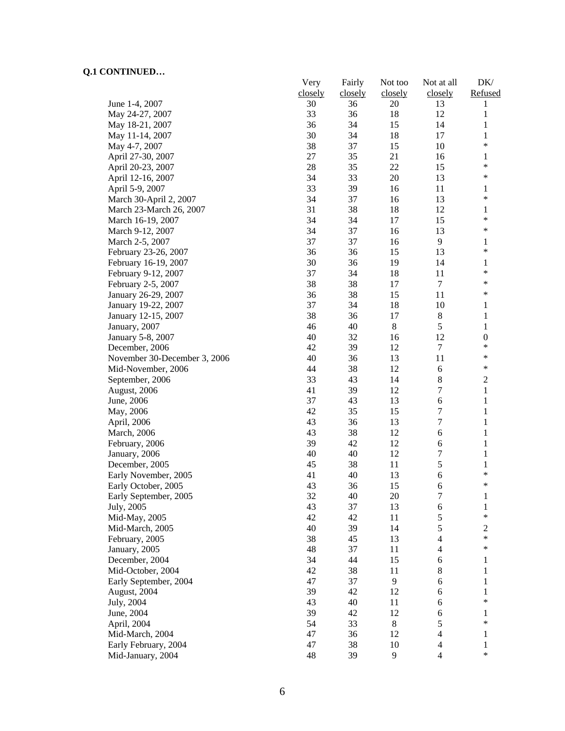|                              | Very    | Fairly   | Not too  | Not at all              | DK/                          |
|------------------------------|---------|----------|----------|-------------------------|------------------------------|
|                              | closely | closely  | closely  | closely                 | Refused                      |
| June 1-4, 2007               | 30      | 36       | 20       | 13                      | 1                            |
| May 24-27, 2007              | 33      | 36       | 18       | 12                      | 1                            |
| May 18-21, 2007              | 36      | 34       | 15       | 14                      | 1                            |
| May 11-14, 2007              | 30      | 34       | 18       | 17                      | 1                            |
| May 4-7, 2007                | 38      | 37       | 15       | 10                      | $\ast$                       |
| April 27-30, 2007            | 27      | 35       | 21       | 16                      | 1                            |
| April 20-23, 2007            | $28\,$  | 35       | 22       | 15                      | $\ast$                       |
| April 12-16, 2007            | 34      | 33       | 20       | 13                      | $\ast$                       |
| April 5-9, 2007              | 33      | 39       | 16       | 11                      | 1                            |
| March 30-April 2, 2007       | 34      | 37       | 16       | 13                      | $\ast$                       |
| March 23-March 26, 2007      | 31      | 38       | 18       | 12                      | 1                            |
| March 16-19, 2007            | 34      | 34       | 17       | 15                      | $\ast$                       |
| March 9-12, 2007             | 34      | 37       | 16       | 13                      | $\ast$                       |
| March 2-5, 2007              | 37      | 37       | 16       | 9                       | 1                            |
| February 23-26, 2007         | 36      | 36       | 15       | 13                      | $\ast$                       |
| February 16-19, 2007         | 30      | 36       | 19       | 14                      | $\mathbf{1}$                 |
| February 9-12, 2007          | 37      | 34       | 18       | 11                      | $\ast$                       |
| February 2-5, 2007           | 38      | 38       | 17       | $\tau$                  | $\ast$                       |
| January 26-29, 2007          | 36      | 38       | 15       | 11                      | $\ast$                       |
| January 19-22, 2007          | 37      | 34       | 18       | 10                      | 1                            |
| January 12-15, 2007          | 38      | 36       | 17       | $8\,$                   | 1                            |
| January, 2007                | 46      | 40       | 8        | 5                       | $\mathbf{1}$                 |
| January 5-8, 2007            | 40      | 32       | 16       | 12                      | $\boldsymbol{0}$             |
| December, 2006               | 42      | 39       | 12       | $\tau$                  | $\ast$                       |
| November 30-December 3, 2006 | 40      | 36       | 13       | 11                      | $\ast$                       |
| Mid-November, 2006           | 44      | 38       | 12       | 6                       | *                            |
| September, 2006              | 33      | 43       | 14       | 8                       | $\overline{c}$               |
| August, 2006                 | 41      | 39       | 12       | 7                       | $\mathbf{1}$                 |
|                              | 37      | 43       | 13       | 6                       | $\mathbf{1}$                 |
| June, 2006                   | 42      | 35       | 15       | $\boldsymbol{7}$        | $\mathbf{1}$                 |
| May, 2006                    | 43      | 36       | 13       | 7                       | $\mathbf{1}$                 |
| April, 2006                  | 43      | 38       | 12       | 6                       | $\mathbf{1}$                 |
| March, 2006                  | 39      |          |          | 6                       |                              |
| February, 2006               | 40      | 42<br>40 | 12<br>12 | 7                       | $\mathbf{1}$<br>$\mathbf{1}$ |
| January, 2006                |         | 38       |          | 5                       |                              |
| December, 2005               | 45      |          | 11       |                         | 1<br>$\ast$                  |
| Early November, 2005         | 41      | 40       | 13       | 6                       | $\ast$                       |
| Early October, 2005          | 43      | 36       | 15       | 6                       |                              |
| Early September, 2005        | 32      | 40       | 20       | 7                       | 1                            |
| July, 2005                   | 43      | 37       | 13       | 6                       | 1<br>$\ast$                  |
| Mid-May, 2005                | 42      | 42       | 11       | 5                       |                              |
| Mid-March, 2005              | 40      | 39       | 14       | 5                       | $\mathbf{2}$<br>$\ast$       |
| February, 2005               | 38      | 45       | 13       | $\overline{4}$          | $\ast$                       |
| January, 2005                | 48      | 37       | 11       | 4                       |                              |
| December, 2004               | 34      | 44       | 15       | $\epsilon$              | 1                            |
| Mid-October, 2004            | 42      | 38       | 11       | 8                       | $\mathbf{1}$                 |
| Early September, 2004        | 47      | 37       | 9        | 6                       | 1                            |
| August, 2004                 | 39      | 42       | 12       | 6                       | 1                            |
| July, 2004                   | 43      | 40       | 11       | 6                       | $\ast$                       |
| June, 2004                   | 39      | 42       | 12       | 6                       | 1                            |
| April, 2004                  | 54      | 33       | 8        | 5                       | $\ast$                       |
| Mid-March, 2004              | 47      | 36       | 12       | $\overline{4}$          | 1                            |
| Early February, 2004         | 47      | 38       | 10       | $\overline{4}$          | 1                            |
| Mid-January, 2004            | 48      | 39       | 9        | $\overline{\mathbf{4}}$ | $\ast$                       |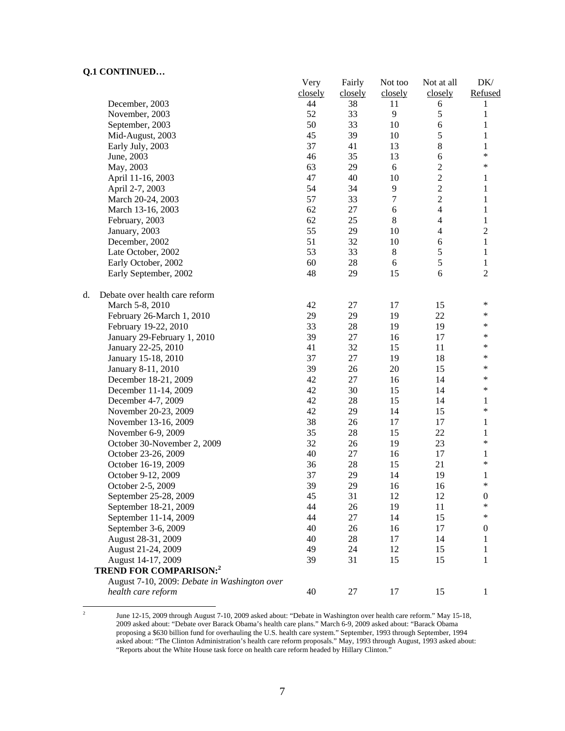$\frac{1}{2}$ 

|                                              | Very<br>closely | Fairly<br>closely | Not too<br>closely | Not at all<br>closely   | DK/<br>Refused   |
|----------------------------------------------|-----------------|-------------------|--------------------|-------------------------|------------------|
| December, 2003                               | 44              | 38                | 11                 | 6                       | 1                |
| November, 2003                               | 52              | 33                | 9                  | 5                       | $\mathbf{1}$     |
| September, 2003                              | 50              | 33                | 10                 | $\sqrt{6}$              | $\mathbf{1}$     |
| Mid-August, 2003                             | 45              | 39                | 10                 | 5                       | $\mathbf{1}$     |
| Early July, 2003                             | 37              | 41                | 13                 | $\,$ 8 $\,$             | 1                |
| June, 2003                                   | 46              | 35                | 13                 | $\sqrt{6}$              | $\ast$           |
| May, 2003                                    | 63              | 29                | 6                  | $\overline{c}$          | $\ast$           |
| April 11-16, 2003                            | 47              | 40                | 10                 | $\overline{2}$          | 1                |
| April 2-7, 2003                              | 54              | 34                | 9                  | $\overline{c}$          | $\mathbf{1}$     |
| March 20-24, 2003                            | 57              | 33                | $\overline{7}$     | $\overline{2}$          | $\mathbf{1}$     |
| March 13-16, 2003                            | 62              | 27                | 6                  | $\overline{4}$          | $\,1$            |
| February, 2003                               | 62              | 25                | $8\,$              | $\overline{4}$          | $\,1$            |
| January, 2003                                | 55              | 29                | 10                 | $\overline{\mathbf{4}}$ | $\sqrt{2}$       |
| December, 2002                               | 51              | 32                | 10                 | $\sqrt{6}$              | $\mathbf{1}$     |
| Late October, 2002                           | 53              | 33                | $8\,$              | 5                       | $\,1$            |
| Early October, 2002                          | 60              | $28\,$            | 6                  | 5                       | $\mathbf{1}$     |
| Early September, 2002                        | 48              | 29                | 15                 | 6                       | $\overline{2}$   |
| Debate over health care reform<br>d.         |                 |                   |                    |                         |                  |
| March 5-8, 2010                              | 42              | 27                | 17                 | 15                      | ∗                |
| February 26-March 1, 2010                    | 29              | 29                | 19                 | 22                      | $\ast$           |
| February 19-22, 2010                         | 33              | $28\,$            | 19                 | 19                      | $\ast$           |
| January 29-February 1, 2010                  | 39              | 27                | 16                 | 17                      | ∗                |
| January 22-25, 2010                          | 41              | 32                | 15                 | 11                      | $\ast$           |
| January 15-18, 2010                          | 37              | $27\,$            | 19                 | 18                      | $\ast$           |
| January 8-11, 2010                           | 39              | 26                | 20                 | 15                      | $\ast$           |
| December 18-21, 2009                         | 42              | $27\,$            | 16                 | 14                      | $\ast$           |
| December 11-14, 2009                         | 42              | 30                | 15                 | 14                      | $\ast$           |
| December 4-7, 2009                           | 42              | 28                | 15                 | 14                      | 1                |
| November 20-23, 2009                         | 42              | 29                | 14                 | 15                      | ∗                |
| November 13-16, 2009                         | 38              | 26                | 17                 | 17                      | $\mathbf{1}$     |
| November 6-9, 2009                           | 35              | $28\,$            | 15                 | 22                      | $\mathbf{1}$     |
| October 30-November 2, 2009                  | 32              | 26                | 19                 | 23                      | *                |
| October 23-26, 2009                          | 40              | 27                | 16                 | 17                      | 1                |
| October 16-19, 2009                          | 36              | $28\,$            | 15                 | 21                      | *                |
| October 9-12, 2009                           | 37              | 29                | 14                 | 19                      | 1                |
| October 2-5, 2009                            | 39              | 29                | 16                 | 16                      | *                |
| September 25-28, 2009                        | 45              | 31                | 12                 | 12                      | $\boldsymbol{0}$ |
| September 18-21, 2009                        | 44              | 26                | 19                 | 11                      | $\ast$           |
| September 11-14, 2009                        | 44              | 27                | 14                 | 15                      | *                |
| September 3-6, 2009                          | 40              | 26                | 16                 | 17                      | $\boldsymbol{0}$ |
| August 28-31, 2009                           | 40              | 28                | 17                 | 14                      | 1                |
| August 21-24, 2009                           | 49              | 24                | 12                 | 15                      | 1                |
| August 14-17, 2009                           | 39              | 31                | 15                 | 15                      | 1                |
| <b>TREND FOR COMPARISON:2</b>                |                 |                   |                    |                         |                  |
| August 7-10, 2009: Debate in Washington over |                 |                   |                    |                         |                  |
| health care reform                           | 40              | 27                | 17                 | 15                      | $\mathbf{1}$     |

 June 12-15, 2009 through August 7-10, 2009 asked about: "Debate in Washington over health care reform." May 15-18, 2009 asked about: "Debate over Barack Obama's health care plans." March 6-9, 2009 asked about: "Barack Obama proposing a \$630 billion fund for overhauling the U.S. health care system." September, 1993 through September, 1994 asked about: "The Clinton Administration's health care reform proposals." May, 1993 through August, 1993 asked about: "Reports about the White House task force on health care reform headed by Hillary Clinton."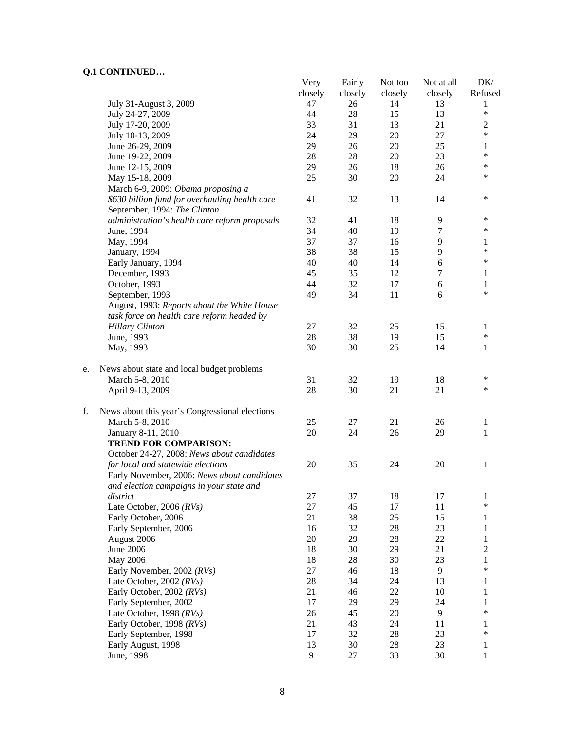|    | VII CONTRIGUES                                 | Very    | Fairly  | Not too | Not at all | DK/               |
|----|------------------------------------------------|---------|---------|---------|------------|-------------------|
|    |                                                | closely | closely | closely | closely    | Refused           |
|    | July 31-August 3, 2009                         | 47      | 26      | 14      | 13         | 1                 |
|    | July 24-27, 2009                               | 44      | 28      | 15      | 13         | $\ast$            |
|    | July 17-20, 2009                               | 33      | 31      | 13      | 21         | $\mathfrak{2}$    |
|    | July 10-13, 2009                               | 24      | 29      | 20      | 27         | $\ast$            |
|    | June 26-29, 2009                               | 29      | 26      | 20      | 25         | $\mathbf{1}$      |
|    | June 19-22, 2009                               | 28      | 28      | 20      | 23         | $\ast$            |
|    | June 12-15, 2009                               | 29      | 26      | 18      | 26         | *                 |
|    | May 15-18, 2009                                | 25      | 30      | 20      | 24         | $\ast$            |
|    | March 6-9, 2009: Obama proposing a             |         |         |         |            |                   |
|    | \$630 billion fund for overhauling health care | 41      | 32      | 13      | 14         | $\ast$            |
|    | September, 1994: The Clinton                   |         |         |         |            |                   |
|    | administration's health care reform proposals  | 32      | 41      | 18      | 9          | $\ast$            |
|    | June, 1994                                     | 34      | 40      | 19      | 7          | $\ast$            |
|    | May, 1994                                      | 37      | 37      | 16      | 9          | 1                 |
|    | January, 1994                                  | 38      | 38      | 15      | 9          | $\ast$            |
|    | Early January, 1994                            | 40      | 40      | 14      | 6          | $\ast$            |
|    | December, 1993                                 | 45      | 35      | 12      | 7          | 1                 |
|    | October, 1993                                  | 44      | 32      | 17      | 6          | 1                 |
|    | September, 1993                                | 49      | 34      | 11      | 6          | $\ast$            |
|    | August, 1993: Reports about the White House    |         |         |         |            |                   |
|    | task force on health care reform headed by     |         |         |         |            |                   |
|    | <b>Hillary Clinton</b>                         | 27      | 32      | 25      | 15         | 1                 |
|    | June, 1993                                     | 28      | 38      | 19      | 15         | $\ast$            |
|    |                                                | 30      | 30      | 25      | 14         |                   |
|    | May, 1993                                      |         |         |         |            | $\mathbf{1}$      |
| e. | News about state and local budget problems     |         |         |         |            |                   |
|    | March 5-8, 2010                                | 31      | 32      | 19      | 18         | $\ast$            |
|    | April 9-13, 2009                               | 28      | 30      | 21      | 21         | $\ast$            |
| f. | News about this year's Congressional elections |         |         |         |            |                   |
|    | March 5-8, 2010                                | 25      | 27      | 21      | 26         | 1                 |
|    | January 8-11, 2010                             | 20      | 24      | 26      | 29         | 1                 |
|    | <b>TREND FOR COMPARISON:</b>                   |         |         |         |            |                   |
|    | October 24-27, 2008: News about candidates     |         |         |         |            |                   |
|    | for local and statewide elections              | 20      | 35      | 24      | 20         | 1                 |
|    | Early November, 2006: News about candidates    |         |         |         |            |                   |
|    | and election campaigns in your state and       |         |         |         |            |                   |
|    | district                                       | 27      | 37      | 18      | 17         | 1                 |
|    | Late October, 2006 $(RVs)$                     | 27      | 45      | 17      | 11         | $\ast$            |
|    | Early October, 2006                            | 21      | 38      | 25      | 15         | 1                 |
|    | Early September, 2006                          | 16      | 32      | 28      | 23         | $\mathbf{1}$      |
|    |                                                | 20      |         | 28      | 22         |                   |
|    | August 2006                                    |         | 29      |         |            | $\mathbf{1}$      |
|    | <b>June 2006</b>                               | 18      | 30      | 29      | 21         | $\overline{c}$    |
|    | May 2006                                       | 18      | 28      | 30      | 23         | $\mathbf{1}$<br>* |
|    | Early November, 2002 (RVs)                     | 27      | 46      | 18      | 9          |                   |
|    | Late October, 2002 $(RVs)$                     | 28      | 34      | 24      | 13         | 1                 |
|    | Early October, 2002 (RVs)                      | 21      | 46      | 22      | 10         | 1                 |
|    | Early September, 2002                          | 17      | 29      | 29      | 24         | 1                 |
|    | Late October, 1998 (RVs)                       | 26      | 45      | 20      | 9          | $\ast$            |
|    | Early October, 1998 (RVs)                      | 21      | 43      | 24      | 11         | 1                 |
|    | Early September, 1998                          | 17      | 32      | 28      | 23         | *                 |
|    | Early August, 1998                             | 13      | 30      | 28      | 23         | $\mathbf{1}$      |
|    | June, 1998                                     | 9       | 27      | 33      | 30         | 1                 |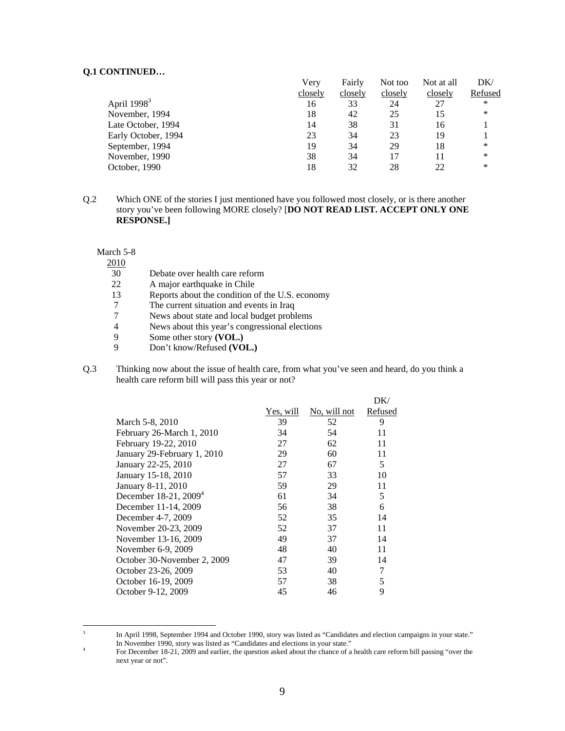|                     | Very    | Fairly  | Not too | Not at all | DK/     |
|---------------------|---------|---------|---------|------------|---------|
|                     | closely | closely | closely | closely    | Refused |
| April $19983$       | 16      | 33      | 24      | 27         | *       |
| November, 1994      | 18      | 42      | 25      | 15         | $\ast$  |
| Late October, 1994  | 14      | 38      | 31      | 16         |         |
| Early October, 1994 | 23      | 34      | 23      | 19         |         |
| September, 1994     | 19      | 34      | 29      | 18         | *       |
| November, 1990      | 38      | 34      | 17      |            | $\ast$  |
| October, 1990       | 18      | 32      | 28      | 22         | $\ast$  |

Q.2 Which ONE of the stories I just mentioned have you followed most closely, or is there another story you've been following MORE closely? [**DO NOT READ LIST. ACCEPT ONLY ONE RESPONSE.]** 

March 5-8

2010

- 30 Debate over health care reform<br>22 A major earthquake in Chile
- 22 A major earthquake in Chile<br>13 Reports about the condition of
- Reports about the condition of the U.S. economy
- 7 The current situation and events in Iraq<br>7 News about state and local budget probl
- News about state and local budget problems
- 4 News about this year's congressional elections
- 9 Some other story **(VOL.)**<br>9 Don't know/Refused **(VO**
- 9 Don't know/Refused **(VOL.)**
- Q.3 Thinking now about the issue of health care, from what you've seen and heard, do you think a health care reform bill will pass this year or not?

|                             |           |              | DK/            |
|-----------------------------|-----------|--------------|----------------|
|                             | Yes, will | No, will not | <b>Refused</b> |
| March 5-8, 2010             | 39        | 52           | 9              |
| February 26-March 1, 2010   | 34        | 54           | 11             |
| February 19-22, 2010        | 27        | 62           | 11             |
| January 29-February 1, 2010 | 29        | 60           | 11             |
| January 22-25, 2010         | 27        | 67           | 5              |
| January 15-18, 2010         | 57        | 33           | 10             |
| January 8-11, 2010          | 59.       | 29           | 11             |
| December 18-21, $2009^4$    | 61        | 34           | 5              |
| December 11-14, 2009        | 56        | 38           | 6              |
| December 4-7, 2009          | 52        | 35           | 14             |
| November 20-23, 2009        | 52        | 37           | 11             |
| November 13-16, 2009        | 49        | 37           | 14             |
| November 6-9, 2009          | 48        | 40           | 11             |
| October 30-November 2, 2009 | 47        | 39           | 14             |
| October 23-26, 2009         | 53        | 40           | 7              |
| October 16-19, 2009         | 57        | 38           | 5              |
| October 9-12, 2009          | 45        | 46           | 9              |
|                             |           |              |                |

 3 In April 1998, September 1994 and October 1990, story was listed as "Candidates and election campaigns in your state." In November 1990, story was listed as "Candidates and elections in your state." 4

For December 18-21, 2009 and earlier, the question asked about the chance of a health care reform bill passing "over the next year or not".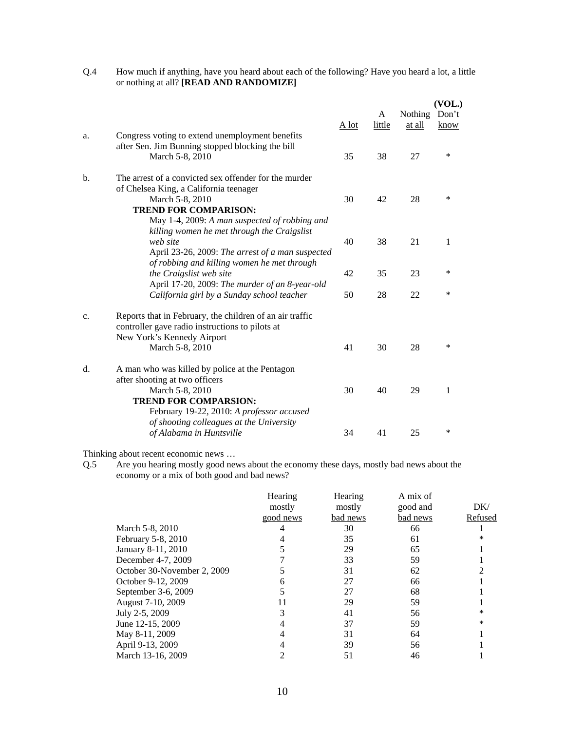| Q.4 | How much if anything, have you heard about each of the following? Have you heard a lot, a little |
|-----|--------------------------------------------------------------------------------------------------|
|     | or nothing at all? [READ AND RANDOMIZE]                                                          |

|                |                                                                                                                                                                                                     |       |             |                   | (VOL.)        |
|----------------|-----------------------------------------------------------------------------------------------------------------------------------------------------------------------------------------------------|-------|-------------|-------------------|---------------|
|                |                                                                                                                                                                                                     | A lot | A<br>little | Nothing<br>at all | Don't<br>know |
| a.             | Congress voting to extend unemployment benefits<br>after Sen. Jim Bunning stopped blocking the bill<br>March 5-8, 2010                                                                              | 35    | 38          | 27                | *             |
| b.             | The arrest of a convicted sex offender for the murder<br>of Chelsea King, a California teenager<br>March 5-8, 2010<br><b>TREND FOR COMPARISON:</b><br>May 1-4, 2009: A man suspected of robbing and | 30    | 42          | 28                | *             |
|                | killing women he met through the Craigslist<br>web site<br>April 23-26, 2009: The arrest of a man suspected<br>of robbing and killing women he met through                                          | 40    | 38          | 21                | 1             |
|                | the Craigslist web site                                                                                                                                                                             | 42    | 35          | 23                | $\ast$        |
|                | April 17-20, 2009: The murder of an 8-year-old<br>California girl by a Sunday school teacher                                                                                                        | 50    | 28          | 22                | *             |
| $\mathbf{C}$ . | Reports that in February, the children of an air traffic<br>controller gave radio instructions to pilots at<br>New York's Kennedy Airport<br>March 5-8, 2010                                        | 41    | 30          | 28                | *             |
| $d$ .          | A man who was killed by police at the Pentagon<br>after shooting at two officers<br>March 5-8, 2010<br><b>TREND FOR COMPARSION:</b><br>February 19-22, 2010: A professor accused                    | 30    | 40          | 29                | 1             |
|                | of shooting colleagues at the University<br>of Alabama in Huntsville                                                                                                                                | 34    | 41          | 25                | $\ast$        |

Thinking about recent economic news …

Q.5 Are you hearing mostly good news about the economy these days, mostly bad news about the economy or a mix of both good and bad news?

|                             | Hearing   | Hearing  | A mix of |         |
|-----------------------------|-----------|----------|----------|---------|
|                             | mostly    | mostly   | good and | DK/     |
|                             | good news | bad news | bad news | Refused |
| March 5-8, 2010             |           | 30       | 66       |         |
| February 5-8, 2010          |           | 35       | 61       |         |
| January 8-11, 2010          |           | 29       | 65       |         |
| December 4-7, 2009          |           | 33       | 59       |         |
| October 30-November 2, 2009 |           | 31       | 62       |         |
| October 9-12, 2009          |           | 27       | 66       |         |
| September 3-6, 2009         |           | 27       | 68       |         |
| August 7-10, 2009           |           | 29       | 59       |         |
| July 2-5, 2009              |           | 41       | 56       |         |
| June 12-15, 2009            |           | 37       | 59       |         |
| May 8-11, 2009              |           | 31       | 64       |         |
| April 9-13, 2009            |           | 39       | 56       |         |
| March 13-16, 2009           |           | 51       | 46       |         |
|                             |           |          |          |         |